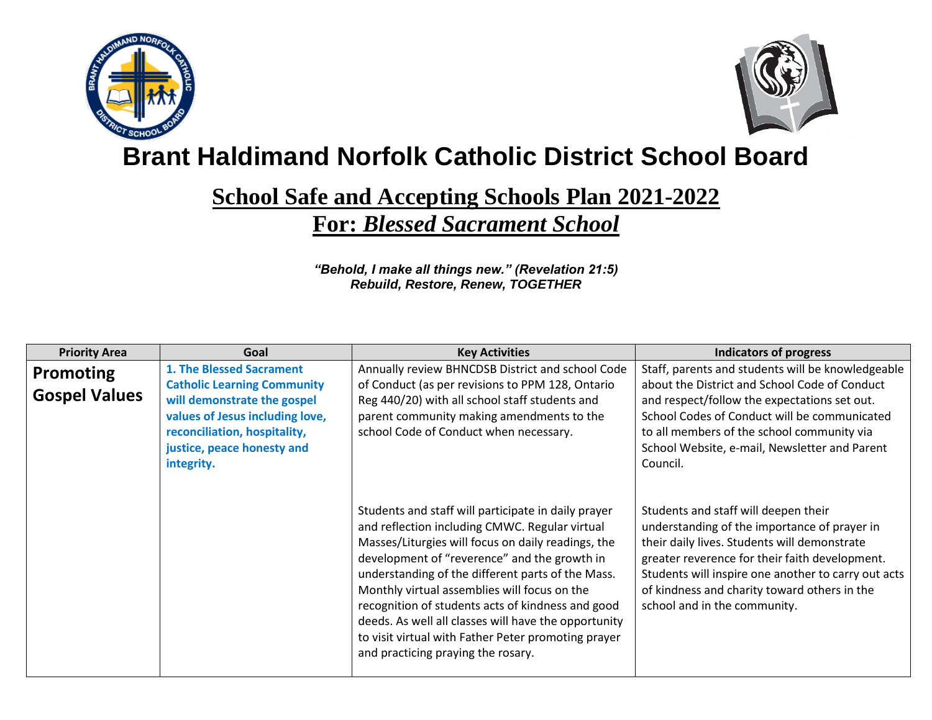



## **Brant Haldimand Norfolk Catholic District School Board**

## **School Safe and Accepting Schools Plan 2021-2022 For:** *Blessed Sacrament School*

*"Behold, I make all things new." (Revelation 21:5) Rebuild, Restore, Renew, TOGETHER*

| <b>Priority Area</b> | Goal                                                                                                                                                                             | <b>Key Activities</b>                                                                                                                                                                                                                                                                                                                                                                                                                                                                                                      | <b>Indicators of progress</b>                                                                                                                                                                                                                                                                                                 |
|----------------------|----------------------------------------------------------------------------------------------------------------------------------------------------------------------------------|----------------------------------------------------------------------------------------------------------------------------------------------------------------------------------------------------------------------------------------------------------------------------------------------------------------------------------------------------------------------------------------------------------------------------------------------------------------------------------------------------------------------------|-------------------------------------------------------------------------------------------------------------------------------------------------------------------------------------------------------------------------------------------------------------------------------------------------------------------------------|
| <b>Promoting</b>     | 1. The Blessed Sacrament                                                                                                                                                         | Annually review BHNCDSB District and school Code                                                                                                                                                                                                                                                                                                                                                                                                                                                                           | Staff, parents and students will be knowledgeable                                                                                                                                                                                                                                                                             |
| <b>Gospel Values</b> | <b>Catholic Learning Community</b><br>will demonstrate the gospel<br>values of Jesus including love,<br>reconciliation, hospitality,<br>justice, peace honesty and<br>integrity. | of Conduct (as per revisions to PPM 128, Ontario<br>Reg 440/20) with all school staff students and<br>parent community making amendments to the<br>school Code of Conduct when necessary.                                                                                                                                                                                                                                                                                                                                  | about the District and School Code of Conduct<br>and respect/follow the expectations set out.<br>School Codes of Conduct will be communicated<br>to all members of the school community via<br>School Website, e-mail, Newsletter and Parent<br>Council.                                                                      |
|                      |                                                                                                                                                                                  | Students and staff will participate in daily prayer<br>and reflection including CMWC. Regular virtual<br>Masses/Liturgies will focus on daily readings, the<br>development of "reverence" and the growth in<br>understanding of the different parts of the Mass.<br>Monthly virtual assemblies will focus on the<br>recognition of students acts of kindness and good<br>deeds. As well all classes will have the opportunity<br>to visit virtual with Father Peter promoting prayer<br>and practicing praying the rosary. | Students and staff will deepen their<br>understanding of the importance of prayer in<br>their daily lives. Students will demonstrate<br>greater reverence for their faith development.<br>Students will inspire one another to carry out acts<br>of kindness and charity toward others in the<br>school and in the community. |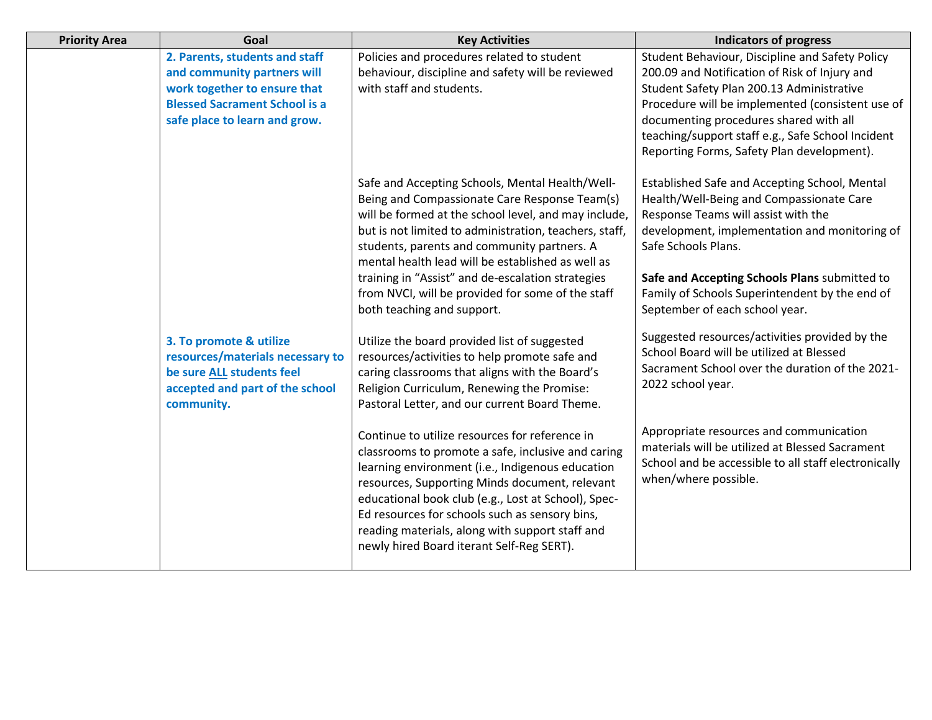| <b>Priority Area</b> | Goal                                 | <b>Key Activities</b>                                                                             | <b>Indicators of progress</b>                                                                           |
|----------------------|--------------------------------------|---------------------------------------------------------------------------------------------------|---------------------------------------------------------------------------------------------------------|
|                      | 2. Parents, students and staff       | Policies and procedures related to student                                                        | Student Behaviour, Discipline and Safety Policy                                                         |
|                      | and community partners will          | behaviour, discipline and safety will be reviewed                                                 | 200.09 and Notification of Risk of Injury and                                                           |
|                      | work together to ensure that         | with staff and students.                                                                          | Student Safety Plan 200.13 Administrative                                                               |
|                      | <b>Blessed Sacrament School is a</b> |                                                                                                   | Procedure will be implemented (consistent use of                                                        |
|                      | safe place to learn and grow.        |                                                                                                   | documenting procedures shared with all                                                                  |
|                      |                                      |                                                                                                   | teaching/support staff e.g., Safe School Incident                                                       |
|                      |                                      |                                                                                                   | Reporting Forms, Safety Plan development).                                                              |
|                      |                                      | Safe and Accepting Schools, Mental Health/Well-                                                   | Established Safe and Accepting School, Mental                                                           |
|                      |                                      | Being and Compassionate Care Response Team(s)                                                     | Health/Well-Being and Compassionate Care                                                                |
|                      |                                      | will be formed at the school level, and may include,                                              | Response Teams will assist with the                                                                     |
|                      |                                      | but is not limited to administration, teachers, staff,                                            | development, implementation and monitoring of                                                           |
|                      |                                      | students, parents and community partners. A                                                       | Safe Schools Plans.                                                                                     |
|                      |                                      | mental health lead will be established as well as                                                 |                                                                                                         |
|                      |                                      | training in "Assist" and de-escalation strategies                                                 | Safe and Accepting Schools Plans submitted to                                                           |
|                      |                                      | from NVCI, will be provided for some of the staff                                                 | Family of Schools Superintendent by the end of                                                          |
|                      |                                      | both teaching and support.                                                                        | September of each school year.                                                                          |
|                      | 3. To promote & utilize              | Utilize the board provided list of suggested                                                      | Suggested resources/activities provided by the                                                          |
|                      | resources/materials necessary to     | resources/activities to help promote safe and                                                     | School Board will be utilized at Blessed                                                                |
|                      | be sure ALL students feel            | caring classrooms that aligns with the Board's                                                    | Sacrament School over the duration of the 2021-                                                         |
|                      | accepted and part of the school      | Religion Curriculum, Renewing the Promise:                                                        | 2022 school year.                                                                                       |
|                      | community.                           | Pastoral Letter, and our current Board Theme.                                                     |                                                                                                         |
|                      |                                      |                                                                                                   |                                                                                                         |
|                      |                                      | Continue to utilize resources for reference in                                                    | Appropriate resources and communication                                                                 |
|                      |                                      | classrooms to promote a safe, inclusive and caring                                                | materials will be utilized at Blessed Sacrament<br>School and be accessible to all staff electronically |
|                      |                                      | learning environment (i.e., Indigenous education                                                  | when/where possible.                                                                                    |
|                      |                                      | resources, Supporting Minds document, relevant                                                    |                                                                                                         |
|                      |                                      | educational book club (e.g., Lost at School), Spec-                                               |                                                                                                         |
|                      |                                      | Ed resources for schools such as sensory bins,<br>reading materials, along with support staff and |                                                                                                         |
|                      |                                      | newly hired Board iterant Self-Reg SERT).                                                         |                                                                                                         |
|                      |                                      |                                                                                                   |                                                                                                         |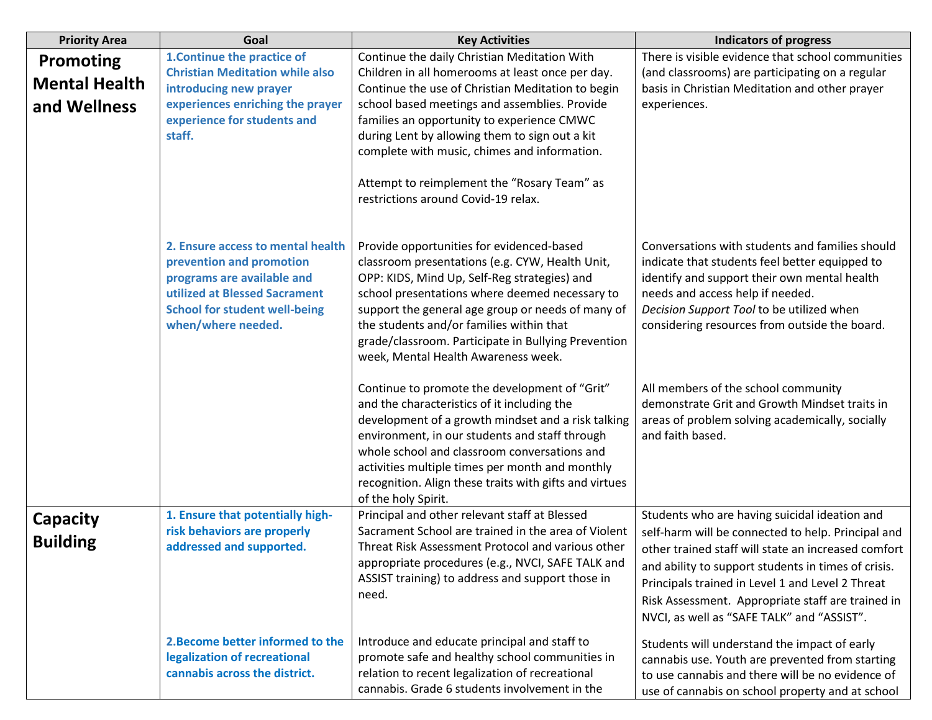| <b>Priority Area</b>                                     | Goal                                                                                                                                                                                       | <b>Key Activities</b>                                                                                                                                                                                                                                                                                                                                                                                                                        | <b>Indicators of progress</b>                                                                                                                                                                                                                                                                                                                                            |
|----------------------------------------------------------|--------------------------------------------------------------------------------------------------------------------------------------------------------------------------------------------|----------------------------------------------------------------------------------------------------------------------------------------------------------------------------------------------------------------------------------------------------------------------------------------------------------------------------------------------------------------------------------------------------------------------------------------------|--------------------------------------------------------------------------------------------------------------------------------------------------------------------------------------------------------------------------------------------------------------------------------------------------------------------------------------------------------------------------|
| <b>Promoting</b><br><b>Mental Health</b><br>and Wellness | 1. Continue the practice of<br><b>Christian Meditation while also</b><br>introducing new prayer<br>experiences enriching the prayer<br>experience for students and<br>staff.               | Continue the daily Christian Meditation With<br>Children in all homerooms at least once per day.<br>Continue the use of Christian Meditation to begin<br>school based meetings and assemblies. Provide<br>families an opportunity to experience CMWC<br>during Lent by allowing them to sign out a kit<br>complete with music, chimes and information.<br>Attempt to reimplement the "Rosary Team" as<br>restrictions around Covid-19 relax. | There is visible evidence that school communities<br>(and classrooms) are participating on a regular<br>basis in Christian Meditation and other prayer<br>experiences.                                                                                                                                                                                                   |
|                                                          | 2. Ensure access to mental health<br>prevention and promotion<br>programs are available and<br>utilized at Blessed Sacrament<br><b>School for student well-being</b><br>when/where needed. | Provide opportunities for evidenced-based<br>classroom presentations (e.g. CYW, Health Unit,<br>OPP: KIDS, Mind Up, Self-Reg strategies) and<br>school presentations where deemed necessary to<br>support the general age group or needs of many of<br>the students and/or families within that<br>grade/classroom. Participate in Bullying Prevention<br>week, Mental Health Awareness week.                                                | Conversations with students and families should<br>indicate that students feel better equipped to<br>identify and support their own mental health<br>needs and access help if needed.<br>Decision Support Tool to be utilized when<br>considering resources from outside the board.                                                                                      |
|                                                          |                                                                                                                                                                                            | Continue to promote the development of "Grit"<br>and the characteristics of it including the<br>development of a growth mindset and a risk talking<br>environment, in our students and staff through<br>whole school and classroom conversations and<br>activities multiple times per month and monthly<br>recognition. Align these traits with gifts and virtues<br>of the holy Spirit.                                                     | All members of the school community<br>demonstrate Grit and Growth Mindset traits in<br>areas of problem solving academically, socially<br>and faith based.                                                                                                                                                                                                              |
| <b>Capacity</b><br><b>Building</b>                       | 1. Ensure that potentially high-<br>risk behaviors are properly<br>addressed and supported.                                                                                                | Principal and other relevant staff at Blessed<br>Sacrament School are trained in the area of Violent<br>Threat Risk Assessment Protocol and various other<br>appropriate procedures (e.g., NVCI, SAFE TALK and<br>ASSIST training) to address and support those in<br>need.                                                                                                                                                                  | Students who are having suicidal ideation and<br>self-harm will be connected to help. Principal and<br>other trained staff will state an increased comfort<br>and ability to support students in times of crisis.<br>Principals trained in Level 1 and Level 2 Threat<br>Risk Assessment. Appropriate staff are trained in<br>NVCI, as well as "SAFE TALK" and "ASSIST". |
|                                                          | 2. Become better informed to the<br>legalization of recreational<br>cannabis across the district.                                                                                          | Introduce and educate principal and staff to<br>promote safe and healthy school communities in<br>relation to recent legalization of recreational<br>cannabis. Grade 6 students involvement in the                                                                                                                                                                                                                                           | Students will understand the impact of early<br>cannabis use. Youth are prevented from starting<br>to use cannabis and there will be no evidence of<br>use of cannabis on school property and at school                                                                                                                                                                  |